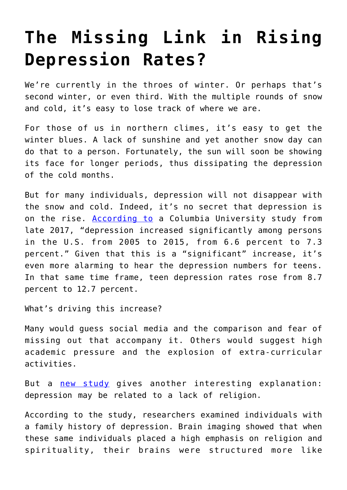## **[The Missing Link in Rising](https://intellectualtakeout.org/2019/02/the-missing-link-in-rising-depression-rates/) [Depression Rates?](https://intellectualtakeout.org/2019/02/the-missing-link-in-rising-depression-rates/)**

We're currently in the throes of winter. Or perhaps that's second winter, or even third. With the multiple rounds of snow and cold, it's easy to lose track of where we are.

For those of us in northern climes, it's easy to get the winter blues. A lack of sunshine and yet another snow day can do that to a person. Fortunately, the sun will soon be showing its face for longer periods, thus dissipating the depression of the cold months.

But for many individuals, depression will not disappear with the snow and cold. Indeed, it's no secret that depression is on the rise. [According to](https://www.sciencedaily.com/releases/2017/10/171030134631.htm) a Columbia University study from late 2017, "depression increased significantly among persons in the U.S. from 2005 to 2015, from 6.6 percent to 7.3 percent." Given that this is a "significant" increase, it's even more alarming to hear the depression numbers for teens. In that same time frame, teen depression rates rose from 8.7 percent to 12.7 percent.

What's driving this increase?

Many would guess social media and the comparison and fear of missing out that accompany it. Others would suggest high academic pressure and the explosion of extra-curricular activities.

But a [new study](https://onlinelibrary.wiley.com/doi/full/10.1002/brb3.1209) gives another interesting explanation: depression may be related to a lack of religion.

According to the study, researchers examined individuals with a family history of depression. Brain imaging showed that when these same individuals placed a high emphasis on religion and spirituality, their brains were structured more like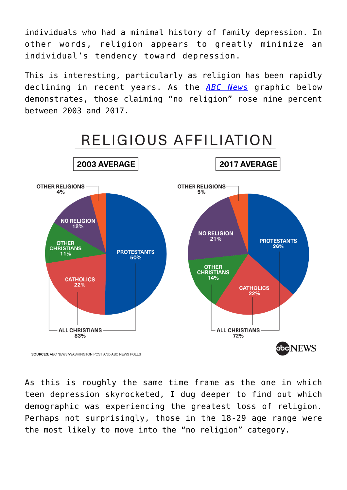individuals who had a minimal history of family depression. In other words, religion appears to greatly minimize an individual's tendency toward depression.

This is interesting, particularly as religion has been rapidly declining in recent years. As the *[ABC News](https://abcnews.go.com/Politics/protestants-decline-religion-sharply-shifting-religious-landscape-poll/story?id=54995663)* graphic below demonstrates, those claiming "no religion" rose nine percent between 2003 and 2017.



As this is roughly the same time frame as the one in which teen depression skyrocketed, I dug deeper to find out which demographic was experiencing the greatest loss of religion. Perhaps not surprisingly, those in the 18-29 age range were the most likely to move into the "no religion" category.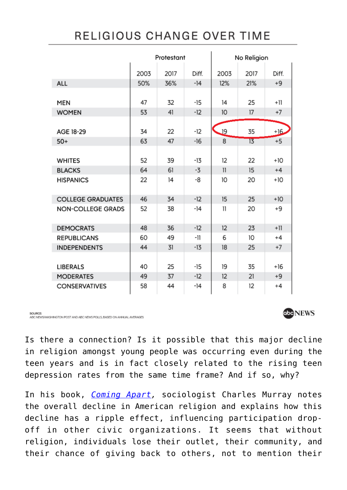## RELIGIOUS CHANGE OVER TIME

|                          | Protestant |      |       | No Religion  |      |       |
|--------------------------|------------|------|-------|--------------|------|-------|
|                          | 2003       | 2017 | Diff. | 2003         | 2017 | Diff. |
| <b>ALL</b>               | 50%        | 36%  | $-14$ | 12%          | 21%  | $+9$  |
|                          |            |      |       |              |      |       |
| MEN                      | 47         | 32   | $-15$ | 14           | 25   | $+11$ |
| <b>WOMEN</b>             | 53         | 41   | $-12$ | 10           | 17   | $+7$  |
|                          |            |      |       |              |      |       |
| AGE 18-29                | 34         | 22   | $-12$ | <u>. 19</u>  | 35   | $+16$ |
| $50+$                    | 63         | 47   | $-16$ | 8            | 13   | $+5$  |
|                          |            |      |       |              |      |       |
| <b>WHITES</b>            | 52         | 39   | -13   | 12           | 22   | $+10$ |
| <b>BLACKS</b>            | 64         | 61   | $-3$  | $\mathbf{1}$ | 15   | $+4$  |
| <b>HISPANICS</b>         | 22         | 14   | -8    | 10           | 20   | $+10$ |
|                          |            |      |       |              |      |       |
| <b>COLLEGE GRADUATES</b> | 46         | 34   | $-12$ | 15           | 25   | $+10$ |
| <b>NON-COLLEGE GRADS</b> | 52         | 38   | -14   | 11           | 20   | +9    |
|                          |            |      |       |              |      |       |
| <b>DEMOCRATS</b>         | 48         | 36   | $-12$ | 12           | 23   | $+11$ |
| <b>REPUBLICANS</b>       | 60         | 49   | -11   | 6            | 10   | $+4$  |
| <b>INDEPENDENTS</b>      | 44         | 31   | $-13$ | 18           | 25   | $+7$  |
|                          |            |      |       |              |      |       |
| <b>LIBERALS</b>          | 40         | 25   | $-15$ | 19           | 35   | $+16$ |
| <b>MODERATES</b>         | 49         | 37   | $-12$ | 12           | 21   | $+9$  |
| <b>CONSERVATIVES</b>     | 58         | 44   | -14   | 8            | 12   | $+4$  |

SOURCE

ABC NEWS/WASHINGTON POST AND ABC NEWS POLLS, BASED ON ANNUAL AVERAGES

Is there a connection? Is it possible that this major decline in religion amongst young people was occurring even during the teen years and is in fact closely related to the rising teen depression rates from the same time frame? And if so, why?

In his book, *[Coming Apart,](https://www.amazon.com/gp/product/030745343X/ref=as_li_qf_asin_il_tl?ie=UTF8&tag=intelltakeo0d-20&creative=9325&linkCode=as2&creativeASIN=030745343X&linkId=dd393668296529cae2239a604a464ce2)* sociologist Charles Murray notes the overall decline in American religion and explains how this decline has a ripple effect, influencing participation dropoff in other civic organizations. It seems that without religion, individuals lose their outlet, their community, and their chance of giving back to others, not to mention their